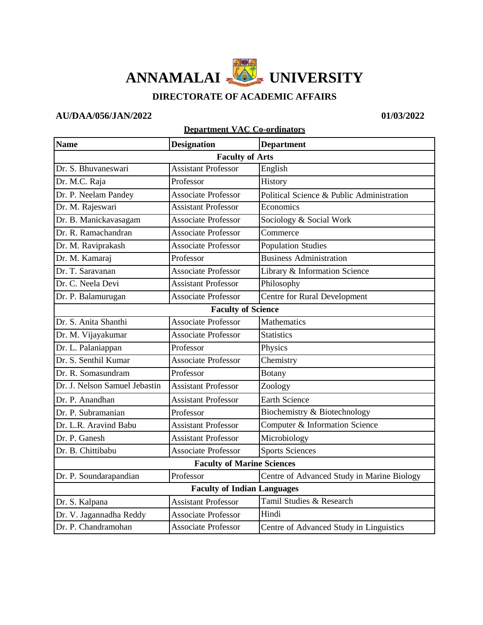## **ANNAMALAI UNIVERSITY**

## **DIRECTORATE OF ACADEMIC AFFAIRS**

## **AU/DAA/056/JAN/2022 01/03/2022**

## **Department VAC Co-ordinators**

| <b>Name</b>                        | <b>Designation</b>         | <b>Department</b>                          |
|------------------------------------|----------------------------|--------------------------------------------|
|                                    | <b>Faculty of Arts</b>     |                                            |
| Dr. S. Bhuvaneswari                | <b>Assistant Professor</b> | English                                    |
| Dr. M.C. Raja                      | Professor                  | History                                    |
| Dr. P. Neelam Pandey               | <b>Associate Professor</b> | Political Science & Public Administration  |
| Dr. M. Rajeswari                   | <b>Assistant Professor</b> | Economics                                  |
| Dr. B. Manickavasagam              | <b>Associate Professor</b> | Sociology & Social Work                    |
| Dr. R. Ramachandran                | <b>Associate Professor</b> | Commerce                                   |
| Dr. M. Raviprakash                 | <b>Associate Professor</b> | <b>Population Studies</b>                  |
| Dr. M. Kamaraj                     | Professor                  | <b>Business Administration</b>             |
| Dr. T. Saravanan                   | <b>Associate Professor</b> | Library & Information Science              |
| Dr. C. Neela Devi                  | <b>Assistant Professor</b> | Philosophy                                 |
| Dr. P. Balamurugan                 | <b>Associate Professor</b> | Centre for Rural Development               |
| <b>Faculty of Science</b>          |                            |                                            |
| Dr. S. Anita Shanthi               | <b>Associate Professor</b> | Mathematics                                |
| Dr. M. Vijayakumar                 | <b>Associate Professor</b> | <b>Statistics</b>                          |
| Dr. L. Palaniappan                 | Professor                  | Physics                                    |
| Dr. S. Senthil Kumar               | <b>Associate Professor</b> | Chemistry                                  |
| Dr. R. Somasundram                 | Professor                  | <b>Botany</b>                              |
| Dr. J. Nelson Samuel Jebastin      | <b>Assistant Professor</b> | Zoology                                    |
| Dr. P. Anandhan                    | <b>Assistant Professor</b> | <b>Earth Science</b>                       |
| Dr. P. Subramanian                 | Professor                  | Biochemistry & Biotechnology               |
| Dr. L.R. Aravind Babu              | <b>Assistant Professor</b> | Computer & Information Science             |
| Dr. P. Ganesh                      | <b>Assistant Professor</b> | Microbiology                               |
| Dr. B. Chittibabu                  | <b>Associate Professor</b> | <b>Sports Sciences</b>                     |
| <b>Faculty of Marine Sciences</b>  |                            |                                            |
| Dr. P. Soundarapandian             | Professor                  | Centre of Advanced Study in Marine Biology |
| <b>Faculty of Indian Languages</b> |                            |                                            |
| Dr. S. Kalpana                     | <b>Assistant Professor</b> | Tamil Studies & Research                   |
| Dr. V. Jagannadha Reddy            | <b>Associate Professor</b> | Hindi                                      |
| Dr. P. Chandramohan                | <b>Associate Professor</b> | Centre of Advanced Study in Linguistics    |